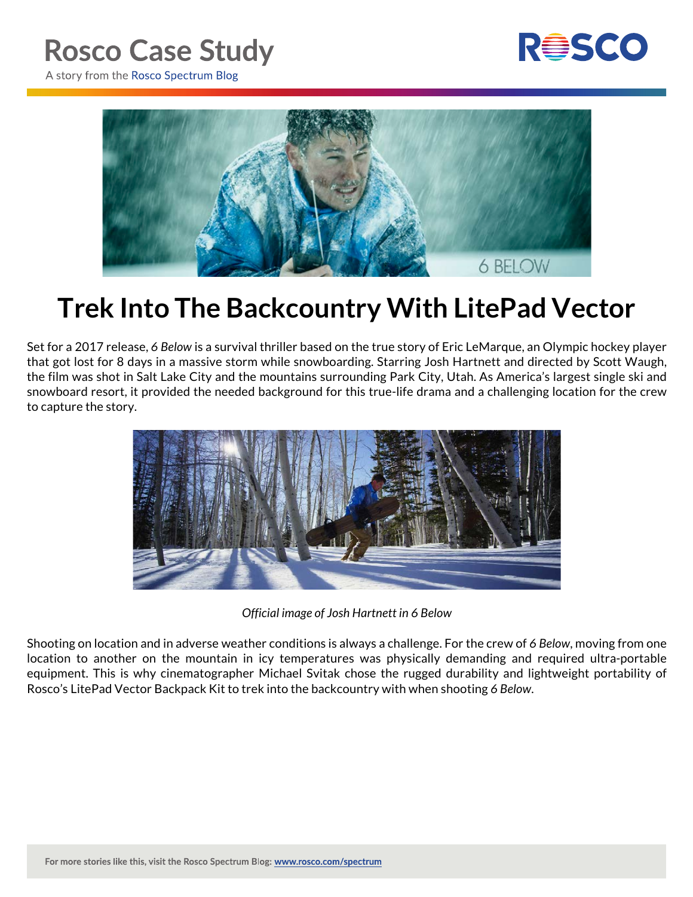## **Rosco Case Study**



A story from the Rosco Spectrum Blog



## **Trek Into The Backcountry With LitePad Vector**

Set for a 2017 release, *6 Below* is a survival thriller based on the true story of Eric LeMarque, an Olympic hockey player that got lost for 8 days in a massive storm while snowboarding. Starring Josh Hartnett and directed by Scott Waugh, the film was shot in Salt Lake City and the mountains surrounding Park City, Utah. As America's largest single ski and snowboard resort, it provided the needed background for this true-life drama and a challenging location for the crew to capture the story.



*Official image of Josh Hartnett in 6 Below*

Shooting on location and in adverse weather conditions is always a challenge. For the crew of *6 Below*, moving from one location to another on the mountain in icy temperatures was physically demanding and required ultra-portable equipment. This is why cinematographer Michael Svitak chose the rugged durability and lightweight portability of Rosco's LitePad Vector Backpack Kit to trek into the backcountry with when shooting *6 Below*.